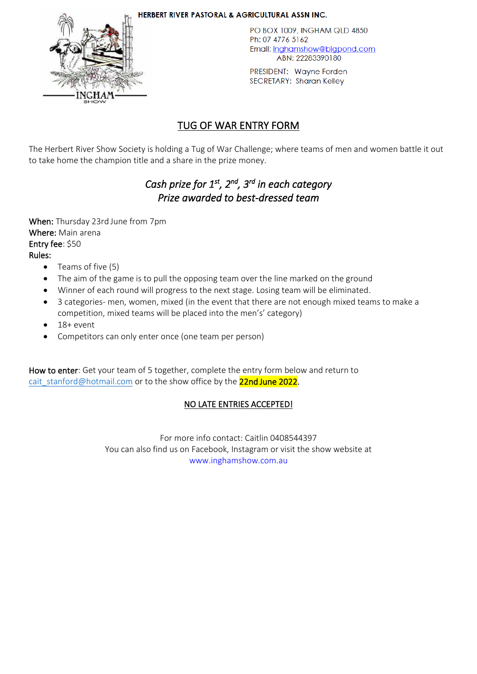

HERBERT RIVER PASTORAL & AGRICULTURAL ASSN INC.

PO BOX 1009, INGHAM QLD 4850 Ph: 07 4776 5162 Email: inghamshow@bigpond.com ABN: 22283390180

PRESIDENT: Wayne Forden **SECRETARY: Sharan Kelley** 

## TUG OF WAR ENTRY FORM

The Herbert River Show Society is holding a Tug of War Challenge; where teams of men and women battle it out to take home the champion title and a share in the prize money.

# *Cash prize for 1st, 2nd, 3rd in each category Prize awarded to best-dressed team*

When: Thursday 23rd June from 7pm Where: Main arena Entry fee: \$50 Rules:

- Teams of five (5)
- The aim of the game is to pull the opposing team over the line marked on the ground
- Winner of each round will progress to the next stage. Losing team will be eliminated.
- 3 categories- men, women, mixed (in the event that there are not enough mixed teams to make a competition, mixed teams will be placed into the men's' category)
- $18+ event$
- Competitors can only enter once (one team per person)

How to enter: Get your team of 5 together, complete the entry form below and return to cait stanford@hotmail.com or to the show office by the 22nd June 2022.

### NO LATE ENTRIES ACCEPTED!

For more info contact: Caitlin 0408544397 You can also find us on Facebook, Instagram or visit the show website at www.inghamshow.com.au